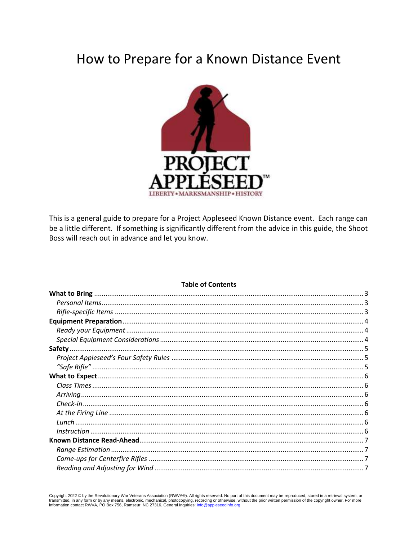# How to Prepare for a Known Distance Event



This is a general guide to prepare for a Project Appleseed Known Distance event. Each range can be a little different. If something is significantly different from the advice in this guide, the Shoot Boss will reach out in advance and let you know.

## **Table of Contents**

Copyright 2022 © by the Revolutionary War Veterans Association (RWVA®). All rights reserved. No part of this document may be reproduced, stored in a retrieval system, or transmitted, in any form or by any means, electronic, mechanical, photocopying, recording or otherwise, without the prior written permission of the copyright owner. For more information contact RWVA, PO Box 756, Ramseur, N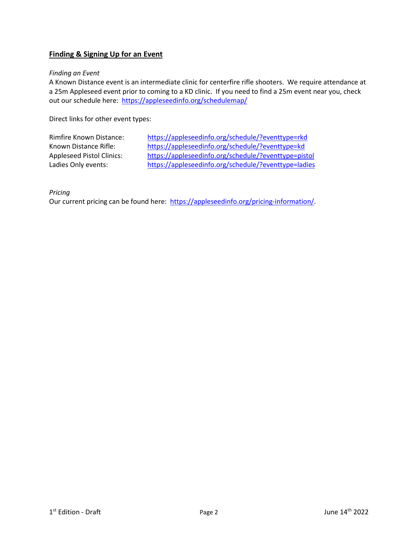# **Finding & Signing Up for an Event**

## *Finding an Event*

A Known Distance event is an intermediate clinic for centerfire rifle shooters. We require attendance at a 25m Appleseed event prior to coming to a KD clinic. If you need to find a 25m event near you, check out our schedule here: https://appleseedinfo.org/schedulemap/

Direct links for other event types:

| <b>Rimfire Known Distance:</b>   | https://appleseedinfo.org/schedule/?eventtype=rkd    |
|----------------------------------|------------------------------------------------------|
| Known Distance Rifle:            | https://appleseedinfo.org/schedule/?eventtype=kd     |
| <b>Appleseed Pistol Clinics:</b> | https://appleseedinfo.org/schedule/?eventtype=pistol |
| Ladies Only events:              | https://appleseedinfo.org/schedule/?eventtype=ladies |

*Pricing*

Our current pricing can be found here: [https://appleseedinfo.org/pricing-information/.](https://appleseedinfo.org/pricing-information/)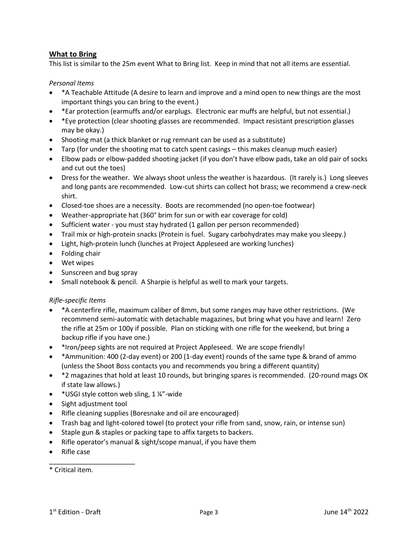# <span id="page-2-0"></span>**What to Bring**

This list is similar to the 25m event What to Bring list. Keep in mind that not all items are essential.

# <span id="page-2-1"></span>*Personal Items*

- \*A Teachable Attitude (A desire to learn and improve and a mind open to new things are the most important things you can bring to the event.)
- \*Ear protection (earmuffs and/or earplugs. Electronic ear muffs are helpful, but not essential.)
- \*Eye protection (clear shooting glasses are recommended. Impact resistant prescription glasses may be okay.)
- Shooting mat (a thick blanket or rug remnant can be used as a substitute)
- Tarp (for under the shooting mat to catch spent casings this makes cleanup much easier)
- Elbow pads or elbow-padded shooting jacket (if you don't have elbow pads, take an old pair of socks and cut out the toes)
- Dress for the weather. We always shoot unless the weather is hazardous. (It rarely is.) Long sleeves and long pants are recommended. Low-cut shirts can collect hot brass; we recommend a crew-neck shirt.
- Closed-toe shoes are a necessity. Boots are recommended (no open-toe footwear)
- Weather-appropriate hat (360° brim for sun or with ear coverage for cold)
- Sufficient water you must stay hydrated (1 gallon per person recommended)
- Trail mix or high-protein snacks (Protein is fuel. Sugary carbohydrates may make you sleepy.)
- Light, high-protein lunch (lunches at Project Appleseed are working lunches)
- Folding chair
- Wet wipes
- Sunscreen and bug spray
- Small notebook & pencil. A Sharpie is helpful as well to mark your targets.

## <span id="page-2-2"></span>*Rifle-specific Items*

- \*A centerfire rifle, maximum caliber of 8mm, but some ranges may have other restrictions. (We recommend semi-automatic with detachable magazines, but bring what you have and learn! Zero the rifle at 25m or 100y if possible. Plan on sticking with one rifle for the weekend, but bring a backup rifle if you have one.)
- \*Iron/peep sights are not required at Project Appleseed. We are scope friendly!
- \*Ammunition: 400 (2-day event) or 200 (1-day event) rounds of the same type & brand of ammo (unless the Shoot Boss contacts you and recommends you bring a different quantity)
- \*2 magazines that hold at least 10 rounds, but bringing spares is recommended. (20-round mags OK if state law allows.)
- \* USGI style cotton web sling, 1 ¼"-wide
- Sight adjustment tool

\_\_\_\_\_\_\_\_\_\_\_\_\_\_\_\_\_\_\_\_\_\_\_

- Rifle cleaning supplies (Boresnake and oil are encouraged)
- Trash bag and light-colored towel (to protect your rifle from sand, snow, rain, or intense sun)
- Staple gun & staples or packing tape to affix targets to backers.
- Rifle operator's manual & sight/scope manual, if you have them
- Rifle case

<sup>\*</sup> Critical item.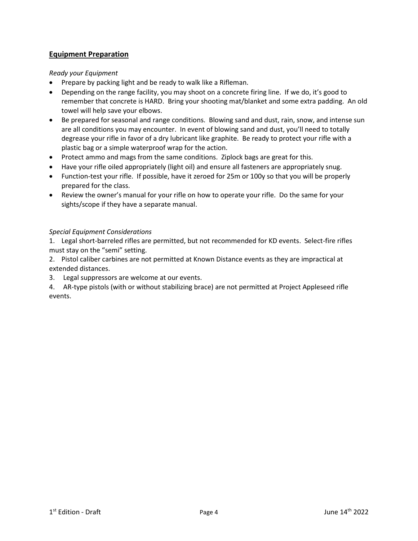# <span id="page-3-0"></span>**Equipment Preparation**

# <span id="page-3-1"></span>*Ready your Equipment*

- Prepare by packing light and be ready to walk like a Rifleman.
- Depending on the range facility, you may shoot on a concrete firing line. If we do, it's good to remember that concrete is HARD. Bring your shooting mat/blanket and some extra padding. An old towel will help save your elbows.
- Be prepared for seasonal and range conditions. Blowing sand and dust, rain, snow, and intense sun are all conditions you may encounter. In event of blowing sand and dust, you'll need to totally degrease your rifle in favor of a dry lubricant like graphite. Be ready to protect your rifle with a plastic bag or a simple waterproof wrap for the action.
- Protect ammo and mags from the same conditions. Ziplock bags are great for this.
- Have your rifle oiled appropriately (light oil) and ensure all fasteners are appropriately snug.
- Function-test your rifle. If possible, have it zeroed for 25m or 100y so that you will be properly prepared for the class.
- Review the owner's manual for your rifle on how to operate your rifle. Do the same for your sights/scope if they have a separate manual.

# <span id="page-3-2"></span>*Special Equipment Considerations*

1. Legal short-barreled rifles are permitted, but not recommended for KD events. Select-fire rifles must stay on the "semi" setting.

2. Pistol caliber carbines are not permitted at Known Distance events as they are impractical at extended distances.

3. Legal suppressors are welcome at our events.

4. AR-type pistols (with or without stabilizing brace) are not permitted at Project Appleseed rifle events.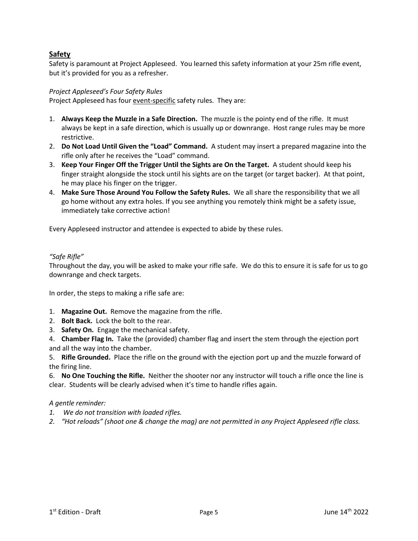# <span id="page-4-0"></span>**Safety**

Safety is paramount at Project Appleseed. You learned this safety information at your 25m rifle event, but it's provided for you as a refresher.

# <span id="page-4-1"></span>*Project Appleseed's Four Safety Rules*

Project Appleseed has four event-specific safety rules. They are:

- 1. **Always Keep the Muzzle in a Safe Direction.** The muzzle is the pointy end of the rifle. It must always be kept in a safe direction, which is usually up or downrange. Host range rules may be more restrictive.
- 2. **Do Not Load Until Given the "Load" Command.** A student may insert a prepared magazine into the rifle only after he receives the "Load" command.
- 3. **Keep Your Finger Off the Trigger Until the Sights are On the Target.** A student should keep his finger straight alongside the stock until his sights are on the target (or target backer). At that point, he may place his finger on the trigger.
- 4. **Make Sure Those Around You Follow the Safety Rules.** We all share the responsibility that we all go home without any extra holes. If you see anything you remotely think might be a safety issue, immediately take corrective action!

Every Appleseed instructor and attendee is expected to abide by these rules.

## <span id="page-4-2"></span>*"Safe Rifle"*

Throughout the day, you will be asked to make your rifle safe. We do this to ensure it is safe for us to go downrange and check targets.

In order, the steps to making a rifle safe are:

- 1. **Magazine Out.** Remove the magazine from the rifle.
- 2. **Bolt Back.** Lock the bolt to the rear.
- 3. **Safety On.** Engage the mechanical safety.
- 4. **Chamber Flag In.** Take the (provided) chamber flag and insert the stem through the ejection port and all the way into the chamber.

5. **Rifle Grounded.** Place the rifle on the ground with the ejection port up and the muzzle forward of the firing line.

6. **No One Touching the Rifle.** Neither the shooter nor any instructor will touch a rifle once the line is clear. Students will be clearly advised when it's time to handle rifles again.

## *A gentle reminder:*

- *1. We do not transition with loaded rifles.*
- *2. "Hot reloads" (shoot one & change the mag) are not permitted in any Project Appleseed rifle class.*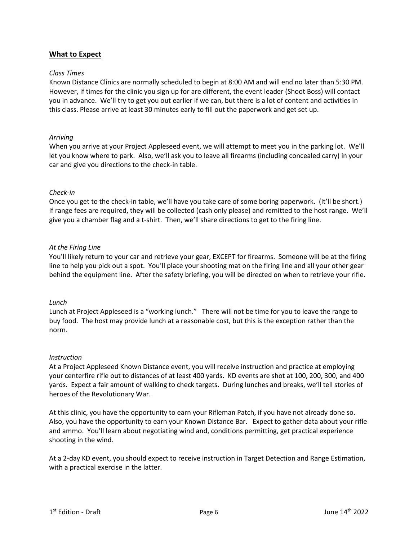# <span id="page-5-0"></span>**What to Expect**

### <span id="page-5-1"></span>*Class Times*

Known Distance Clinics are normally scheduled to begin at 8:00 AM and will end no later than 5:30 PM. However, if times for the clinic you sign up for are different, the event leader (Shoot Boss) will contact you in advance. We'll try to get you out earlier if we can, but there is a lot of content and activities in this class. Please arrive at least 30 minutes early to fill out the paperwork and get set up.

## <span id="page-5-2"></span>*Arriving*

When you arrive at your Project Appleseed event, we will attempt to meet you in the parking lot. We'll let you know where to park. Also, we'll ask you to leave all firearms (including concealed carry) in your car and give you directions to the check-in table.

## <span id="page-5-3"></span>*Check-in*

Once you get to the check-in table, we'll have you take care of some boring paperwork. (It'll be short.) If range fees are required, they will be collected (cash only please) and remitted to the host range. We'll give you a chamber flag and a t-shirt. Then, we'll share directions to get to the firing line.

## <span id="page-5-4"></span>*At the Firing Line*

You'll likely return to your car and retrieve your gear, EXCEPT for firearms. Someone will be at the firing line to help you pick out a spot. You'll place your shooting mat on the firing line and all your other gear behind the equipment line. After the safety briefing, you will be directed on when to retrieve your rifle.

#### <span id="page-5-5"></span>*Lunch*

Lunch at Project Appleseed is a "working lunch." There will not be time for you to leave the range to buy food. The host may provide lunch at a reasonable cost, but this is the exception rather than the norm.

#### <span id="page-5-6"></span>*Instruction*

At a Project Appleseed Known Distance event, you will receive instruction and practice at employing your centerfire rifle out to distances of at least 400 yards. KD events are shot at 100, 200, 300, and 400 yards. Expect a fair amount of walking to check targets. During lunches and breaks, we'll tell stories of heroes of the Revolutionary War.

At this clinic, you have the opportunity to earn your Rifleman Patch, if you have not already done so. Also, you have the opportunity to earn your Known Distance Bar. Expect to gather data about your rifle and ammo. You'll learn about negotiating wind and, conditions permitting, get practical experience shooting in the wind.

At a 2-day KD event, you should expect to receive instruction in Target Detection and Range Estimation, with a practical exercise in the latter.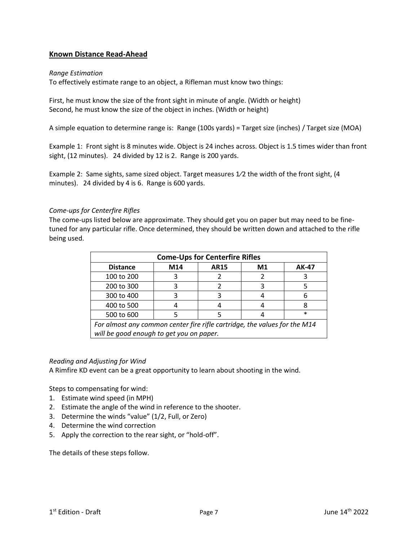# <span id="page-6-0"></span>**Known Distance Read-Ahead**

### <span id="page-6-1"></span>*Range Estimation*

To effectively estimate range to an object, a Rifleman must know two things:

First, he must know the size of the front sight in minute of angle. (Width or height) Second, he must know the size of the object in inches. (Width or height)

A simple equation to determine range is: Range (100s yards) = Target size (inches) / Target size (MOA)

Example 1: Front sight is 8 minutes wide. Object is 24 inches across. Object is 1.5 times wider than front sight, (12 minutes). 24 divided by 12 is 2. Range is 200 yards.

Example 2: Same sights, same sized object. Target measures  $1/2$  the width of the front sight, (4 minutes). 24 divided by 4 is 6. Range is 600 yards.

## <span id="page-6-2"></span>*Come-ups for Centerfire Rifles*

The come-ups listed below are approximate. They should get you on paper but may need to be finetuned for any particular rifle. Once determined, they should be written down and attached to the rifle being used.

| <b>Come-Ups for Centerfire Rifles</b>                                     |     |             |    |              |  |
|---------------------------------------------------------------------------|-----|-------------|----|--------------|--|
| <b>Distance</b>                                                           | M14 | <b>AR15</b> | M1 | <b>AK-47</b> |  |
| 100 to 200                                                                |     |             |    |              |  |
| 200 to 300                                                                |     |             |    |              |  |
| 300 to 400                                                                |     |             |    |              |  |
| 400 to 500                                                                |     |             |    |              |  |
| 500 to 600                                                                |     |             |    | $\ast$       |  |
| For almost any common center fire rifle cartridge, the values for the M14 |     |             |    |              |  |
| will be good enough to get you on paper.                                  |     |             |    |              |  |

#### <span id="page-6-3"></span>*Reading and Adjusting for Wind*

A Rimfire KD event can be a great opportunity to learn about shooting in the wind.

Steps to compensating for wind:

- 1. Estimate wind speed (in MPH)
- 2. Estimate the angle of the wind in reference to the shooter.
- 3. Determine the winds "value" (1/2, Full, or Zero)
- 4. Determine the wind correction
- 5. Apply the correction to the rear sight, or "hold-off".

The details of these steps follow.